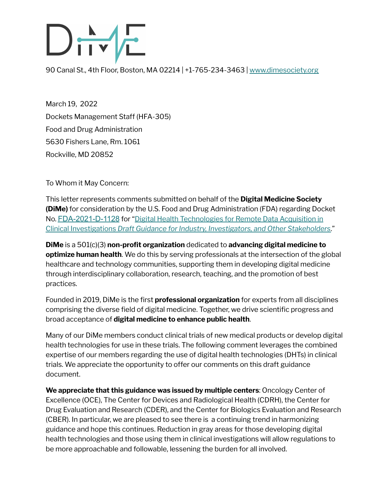# $\frac{R}{\sqrt{2}}$

90 Canal St., 4th Floor, Boston, MA 02214 | +1-765-234-3463 | [www.dimesociety.org](http://www.dimesociety.org)

March 19, 2022 Dockets Management Staff (HFA-305) Food and Drug Administration 5630 Fishers Lane, Rm. 1061 Rockville, MD 20852

To Whom it May Concern:

This letter represents comments submitted on behalf of the **Digital Medicine Society (DiMe)** for consideration by the U.S. Food and Drug Administration (FDA) regarding Docket No. [FDA-2021-D-1128](https://www.regulations.gov/docket/FDA-2021-D-1128) for "Digital Health [Technologies](https://www.fda.gov/regulatory-information/search-fda-guidance-documents/digital-health-technologies-remote-data-acquisition-clinical-investigations) for Remote Data Acquisition in Clinical [Investigations](https://www.fda.gov/regulatory-information/search-fda-guidance-documents/digital-health-technologies-remote-data-acquisition-clinical-investigations) *Draft Guidance for Industry, Investigators, and Other Stakeholders*."

**DiMe** is a 501(c)(3) **non-profit organization** dedicated to **advancing digital medicine to optimize human health**. We do this by serving professionals at the intersection of the global healthcare and technology communities, supporting them in developing digital medicine through interdisciplinary collaboration, research, teaching, and the promotion of best practices.

Founded in 2019, DiMe is the first **professional organization** for experts from all disciplines comprising the diverse field of digital medicine. Together, we drive scientific progress and broad acceptance of **digital medicine to enhance public health**.

Many of our DiMe members conduct clinical trials of new medical products or develop digital health technologies for use in these trials. The following comment leverages the combined expertise of our members regarding the use of digital health technologies (DHTs) in clinical trials. We appreciate the opportunity to offer our comments on this draft guidance document.

**We appreciate that this guidance was issued by multiple centers**: Oncology Center of Excellence (OCE), The Center for Devices and Radiological Health (CDRH), the Center for Drug Evaluation and Research (CDER), and the Center for Biologics Evaluation and Research (CBER). In particular, we are pleased to see there is a continuing trend in harmonizing guidance and hope this continues. Reduction in gray areas for those developing digital health technologies and those using them in clinical investigations will allow regulations to be more approachable and followable, lessening the burden for all involved.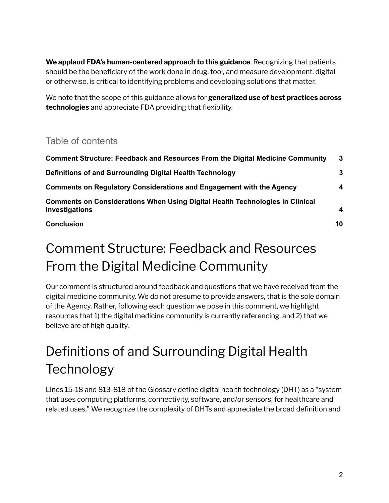**We applaud FDA's human-centered approach to this guidance**. Recognizing that patients should be the beneficiary of the work done in drug, tool, and measure development, digital or otherwise, is critical to identifying problems and developing solutions that matter.

We note that the scope of this guidance allows for **generalized use of best practices across technologies** and appreciate FDA providing that flexibility.

#### Table of contents

| <b>Comment Structure: Feedback and Resources From the Digital Medicine Community</b>                   | $\mathbf{3}$            |
|--------------------------------------------------------------------------------------------------------|-------------------------|
| Definitions of and Surrounding Digital Health Technology                                               | 3                       |
| <b>Comments on Regulatory Considerations and Engagement with the Agency</b>                            | $\overline{\mathbf{4}}$ |
| <b>Comments on Considerations When Using Digital Health Technologies in Clinical</b><br>Investigations | $\overline{\mathbf{4}}$ |
| <b>Conclusion</b>                                                                                      | 10                      |

#### <span id="page-1-0"></span>Comment Structure: Feedback and Resources From the Digital Medicine Community

Our comment is structured around feedback and questions that we have received from the digital medicine community. We do not presume to provide answers, that is the sole domain of the Agency. Rather, following each question we pose in this comment, we highlight resources that 1) the digital medicine community is currently referencing, and 2) that we believe are of high quality.

### <span id="page-1-1"></span>Definitions of and Surrounding Digital Health **Technology**

Lines 15-18 and 813-818 of the Glossary define digital health technology (DHT) as a "system that uses computing platforms, connectivity, software, and/or sensors, for healthcare and related uses." We recognize the complexity of DHTs and appreciate the broad definition and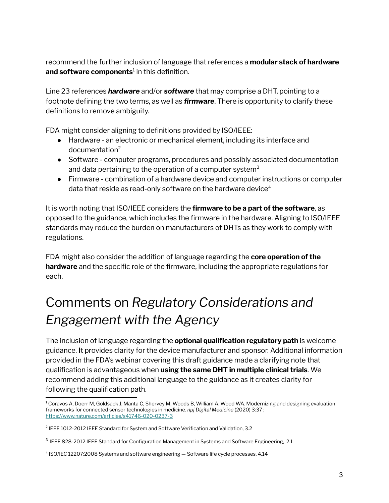recommend the further inclusion of language that references a **modular stack of hardware and software components** 1 in this definition.

Line 23 references *hardware* and/or *software* that may comprise a DHT, pointing to a footnote defining the two terms, as well as *firmware*. There is opportunity to clarify these definitions to remove ambiguity.

FDA might consider aligning to definitions provided by ISO/IEEE:

- Hardware an electronic or mechanical element, including its interface and documentation 2
- Software computer programs, procedures and possibly associated documentation and data pertaining to the operation of a computer system<sup>3</sup>
- Firmware combination of a hardware device and computer instructions or computer data that reside as read-only software on the hardware device $^{\rm 4}$

It is worth noting that ISO/IEEE considers the **firmware to be a part of the software**, as opposed to the guidance, which includes the firmware in the hardware. Aligning to ISO/IEEE standards may reduce the burden on manufacturers of DHTs as they work to comply with regulations.

FDA might also consider the addition of language regarding the **core operation of the hardware** and the specific role of the firmware, including the appropriate regulations for each.

#### <span id="page-2-0"></span>Comments on *Regulatory Considerations and Engagement with the Agency*

The inclusion of language regarding the **optional qualification regulatory path** is welcome guidance. It provides clarity for the device manufacturer and sponsor. Additional information provided in the FDA's webinar covering this draft guidance made a clarifying note that qualification is advantageous when **using the same DHT in multiple clinical trials**. We recommend adding this additional language to the guidance as it creates clarity for following the qualification path.

<sup>&</sup>lt;sup>1</sup> Coravos A, Doerr M, Goldsack J, Manta C, Shervey M, Woods B, William A. Wood WA. Modernizing and designing evaluation frameworks for connected sensor technologies in medicine. *npj Digital Medicine* (2020) 3:37 ; <https://www.nature.com/articles/s41746-020-0237-3>

<sup>2</sup> IEEE 1012-2012 IEEE Standard for System and Software Verification and Validation, 3.2

<sup>&</sup>lt;sup>3</sup> IEEE 828-2012 IEEE Standard for Configuration Management in Systems and Software Engineering, 2.1

<sup>4</sup> ISO/IEC 12207:2008 Systems and software engineering — Software life cycle processes, 4.14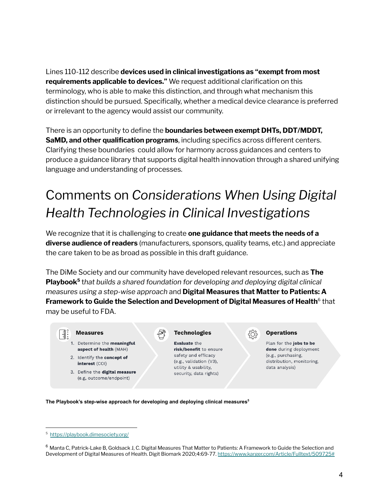Lines 110-112 describe **devices used in clinical investigations as "exempt from most requirements applicable to devices."** We request additional clarification on this terminology, who is able to make this distinction, and through what mechanism this distinction should be pursued. Specifically, whether a medical device clearance is preferred or irrelevant to the agency would assist our community.

There is an opportunity to define the **boundaries between exempt DHTs, DDT/MDDT, SaMD, and other qualification programs**, including specifics across different centers. Clarifying these boundaries could allow for harmony across guidances and centers to produce a guidance library that supports digital health innovation through a shared unifying language and understanding of processes.

## <span id="page-3-0"></span>Comments on *Considerations When Using Digital Health Technologies in Clinical Investigations*

We recognize that it is challenging to create **one guidance that meets the needs of a diverse audience of readers** (manufacturers, sponsors, quality teams, etc.) and appreciate the care taken to be as broad as possible in this draft guidance.

The DiMe Society and our community have developed relevant resources, such as **The Playbook 5** t*hat builds a shared foundation for developing and deploying digital clinical measures using a step-wise approach* and **Digital Measures that Matter to Patients: A Framework to Guide the Selection and Development of Digital Measures of Health** 6 that may be useful to FDA.



3. Define the digital measure (e.g, outcome/endpoint)

#### **Technologies**

Evaluate the risk/benefit to ensure safety and efficacy (e.g., validation (V3), utility & usability, security, data rights)



Plan for the jobs to be done during deployment (e.g., purchasing, distribution, monitoring, data analysis)

**The Playbook's step-wise approach for developing and deploying clinical measures 5**

<sup>5</sup> <https://playbook.dimesociety.org/>

 $6$  Manta C, Patrick-Lake B, Goldsack J, C. Digital Measures That Matter to Patients: A Framework to Guide the Selection and Development of Digital Measures of Health. Digit Biomark 2020;4:69-77. <https://www.karger.com/Article/Fulltext/509725#>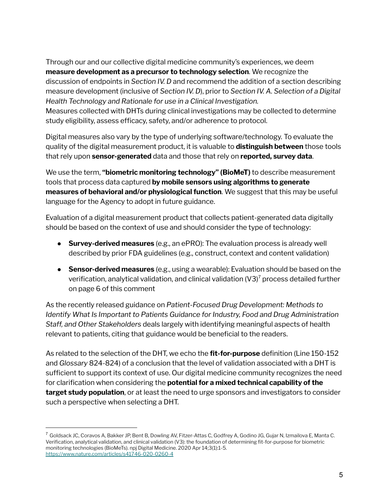Through our and our collective digital medicine community's experiences, we deem **measure development as a precursor to technology selection**. We recognize the discussion of endpoints in *Section IV. D* and recommend the addition of a section describing measure development (inclusive of *Section IV. D*), prior to *Section IV. A. Selection of a Digital Health Technology and Rationale for use in a Clinical Investigation.*

Measures collected with DHTs during clinical investigations may be collected to determine study eligibility, assess efficacy, safety, and/or adherence to protocol.

Digital measures also vary by the type of underlying software/technology. To evaluate the quality of the digital measurement product, it is valuable to **distinguish between** those tools that rely upon **sensor-generated** data and those that rely on **reported, survey data**.

We use the term, **"biometric monitoring technology" (BioMeT)** to describe measurement tools that process data captured **by mobile sensors using algorithms to generate measures of behavioral and/or physiological function**. We suggest that this may be useful language for the Agency to adopt in future guidance.

Evaluation of a digital measurement product that collects patient-generated data digitally should be based on the context of use and should consider the type of technology:

- **Survey-derived measures** (e.g., an ePRO): The evaluation process is already well described by prior FDA guidelines (e.g., construct, context and content validation)
- **Sensor-derived measures** (e.g., using a wearable): Evaluation should be based on the verification, analytical validation, and clinical validation (V3)<sup>7</sup> process detailed further on page 6 of this comment

As the recently released guidance on *Patient-Focused Drug Development: Methods to Identify What Is Important to Patients Guidance for Industry, Food and Drug Administration Staff, and Other Stakeholders* deals largely with identifying meaningful aspects of health relevant to patients, citing that guidance would be beneficial to the readers.

As related to the selection of the DHT, we echo the **fit-for-purpose** definition (Line 150-152 and *Glossary* 824-824) of a conclusion that the level of validation associated with a DHT is sufficient to support its context of use. Our digital medicine community recognizes the need for clarification when considering the **potential for a mixed technical capability of the target study population**, or at least the need to urge sponsors and investigators to consider such a perspective when selecting a DHT.

<sup>&</sup>lt;sup>7</sup> Goldsack JC, Coravos A, Bakker JP, Bent B, Dowling AV, Fitzer-Attas C, Godfrey A, Godino JG, Gujar N, Izmailova E, Manta C. Verification, analytical validation, and clinical validation (V3): the foundation of determining fit-for-purpose for biometric monitoring technologies (BioMeTs). npj Digital Medicine. 2020 Apr 14;3(1):1-5. <https://www.nature.com/articles/s41746-020-0260-4>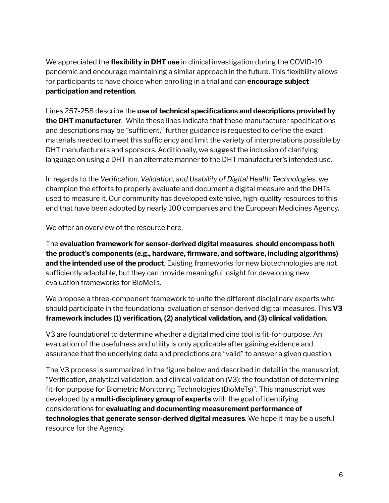We appreciated the **flexibility in DHT use** in clinical investigation during the COVID-19 pandemic and encourage maintaining a similar approach in the future. This flexibility allows for participants to have choice when enrolling in a trial and can **encourage subject participation and retention**.

Lines 257-258 describe the **use of technical specifications and descriptions provided by the DHT manufacturer**. While these lines indicate that these manufacturer specifications and descriptions may be "sufficient," further guidance is requested to define the exact materials needed to meet this sufficiency and limit the variety of interpretations possible by DHT manufacturers and sponsors. Additionally, we suggest the inclusion of clarifying language on using a DHT in an alternate manner to the DHT manufacturer's intended use.

In regards to the *Verification, Validation, and Usability of Digital Health Technologies,* we champion the efforts to properly evaluate and document a digital measure and the DHTs used to measure it. Our community has developed extensive, high-quality resources to this end that have been adopted by nearly 100 companies and the European Medicines Agency.

We offer an overview of the resource here.

The **evaluation framework for sensor-derived digital measures should encompass both the product's components (e.g., hardware, firmware, and software, including algorithms) and the intended use of the product**. Existing frameworks for new biotechnologies are not sufficiently adaptable, but they can provide meaningful insight for developing new evaluation frameworks for BioMeTs.

We propose a three-component framework to unite the different disciplinary experts who should participate in the foundational evaluation of sensor-derived digital measures. This **V3 framework includes (1) verification, (2) analytical validation, and (3) clinical validation**.

V3 are foundational to determine whether a digital medicine tool is fit-for-purpose. An evaluation of the usefulness and utility is only applicable after gaining evidence and assurance that the underlying data and predictions are "valid" to answer a given question.

The V3 process is summarized in the figure below and described in detail in the manuscript, "Verification, analytical validation, and clinical validation (V3): the foundation of determining fit-for-purpose for Biometric Monitoring Technologies (BioMeTs)". This manuscript was developed by a **multi-disciplinary group of experts** with the goal of identifying considerations for **evaluating and documenting measurement performance of technologies that generate sensor-derived digital measures**. We hope it may be a useful resource for the Agency.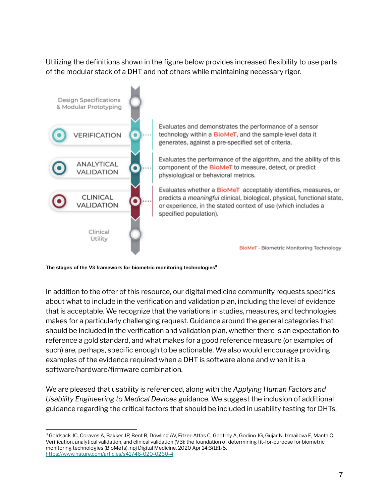Utilizing the definitions shown in the figure below provides increased flexibility to use parts of the modular stack of a DHT and not others while maintaining necessary rigor.



**The stages of the V3 framework for biometric monitoring technologies 8**

In addition to the offer of this resource, our digital medicine community requests specifics about what to include in the verification and validation plan, including the level of evidence that is acceptable. We recognize that the variations in studies, measures, and technologies makes for a particularly challenging request. Guidance around the general categories that should be included in the verification and validation plan, whether there is an expectation to reference a gold standard, and what makes for a good reference measure (or examples of such) are, perhaps, specific enough to be actionable. We also would encourage providing examples of the evidence required when a DHT is software alone and when it is a software/hardware/firmware combination.

We are pleased that usability is referenced, along with the *Applying Human Factors and Usability Engineering to Medical Devices* guidance. We suggest the inclusion of additional guidance regarding the critical factors that should be included in usability testing for DHTs,

<sup>&</sup>lt;sup>8</sup> Goldsack JC, Coravos A, Bakker JP, Bent B, Dowling AV, Fitzer-Attas C, Godfrey A, Godino JG, Gujar N, Izmailova E, Manta C. Verification, analytical validation, and clinical validation (V3): the foundation of determining fit-for-purpose for biometric monitoring technologies (BioMeTs). npj Digital Medicine. 2020 Apr 14;3(1):1-5. <https://www.nature.com/articles/s41746-020-0260-4>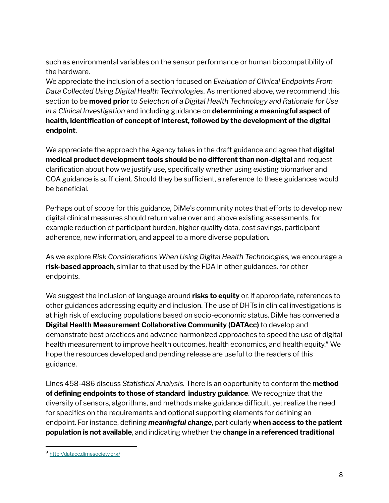such as environmental variables on the sensor performance or human biocompatibility of the hardware.

We appreciate the inclusion of a section focused on *Evaluation of Clinical Endpoints From Data Collected Using Digital Health Technologies.* As mentioned above, we recommend this section to be **moved prior** to *Selection of a Digital Health Technology and Rationale for Use in a Clinical Investigation* and including guidance on **determining a meaningful aspect of health, identification of concept of interest, followed by the development of the digital endpoint**.

We appreciate the approach the Agency takes in the draft guidance and agree that **digital medical product development tools should be no different than non-digital** and request clarification about how we justify use, specifically whether using existing biomarker and COA guidance is sufficient. Should they be sufficient, a reference to these guidances would be beneficial.

Perhaps out of scope for this guidance, DiMe's community notes that efforts to develop new digital clinical measures should return value over and above existing assessments, for example reduction of participant burden, higher quality data, cost savings, participant adherence, new information, and appeal to a more diverse population.

As we explore *Risk Considerations When Using Digital Health Technologies,* we encourage a **risk-based approach**, similar to that used by the FDA in other guidances. for other endpoints.

We suggest the inclusion of language around **risks to equity** or, if appropriate, references to other guidances addressing equity and inclusion. The use of DHTs in clinical investigations is at high risk of excluding populations based on socio-economic status. DiMe has convened a **Digital Health Measurement Collaborative Community (DATAcc)** to develop and demonstrate best practices and advance harmonized approaches to speed the use of digital health measurement to improve health outcomes, health economics, and health equity. <sup>9</sup> We hope the resources developed and pending release are useful to the readers of this guidance.

Lines 458-486 discuss *Statistical Analysis.* There is an opportunity to conform the **method of defining endpoints to those of standard industry guidance**. We recognize that the diversity of sensors, algorithms, and methods make guidance difficult, yet realize the need for specifics on the requirements and optional supporting elements for defining an endpoint. For instance, defining *meaningful change*, particularly **when access to the patient population is not available**, and indicating whether the **change in a referenced traditional**

<sup>9</sup> <http://datacc.dimesociety.org/>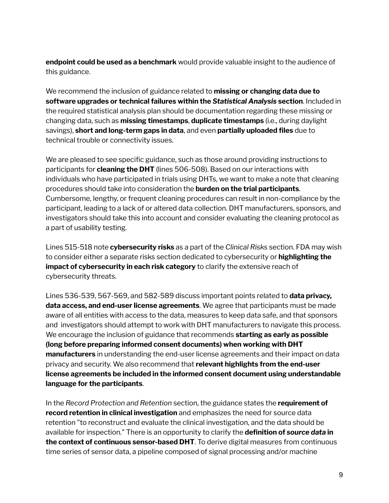**endpoint could be used as a benchmark** would provide valuable insight to the audience of this guidance.

We recommend the inclusion of guidance related to **missing or changing data due to software upgrades or technical failures within the** *Statistical Analysis* **section**. Included in the required statistical analysis plan should be documentation regarding these missing or changing data, such as **missing timestamps**, **duplicate timestamps** (i.e., during daylight savings), **short and long-term gaps in data**, and even **partially uploaded files** due to technical trouble or connectivity issues.

We are pleased to see specific guidance, such as those around providing instructions to participants for **cleaning the DHT** (lines 506-508). Based on our interactions with individuals who have participated in trials using DHTs, we want to make a note that cleaning procedures should take into consideration the **burden on the trial participants**. Cumbersome, lengthy, or frequent cleaning procedures can result in non-compliance by the participant, leading to a lack of or altered data collection. DHT manufacturers, sponsors, and investigators should take this into account and consider evaluating the cleaning protocol as a part of usability testing.

Lines 515-518 note **cybersecurity risks** as a part of the *Clinical Risks* section. FDA may wish to consider either a separate risks section dedicated to cybersecurity or **highlighting the impact of cybersecurity in each risk category** to clarify the extensive reach of cybersecurity threats.

Lines 536-539, 567-569, and 582-589 discuss important points related to **data privacy, data access, and end-user license agreements**. We agree that participants must be made aware of all entities with access to the data, measures to keep data safe, and that sponsors and investigators should attempt to work with DHT manufacturers to navigate this process. We encourage the inclusion of guidance that recommends **starting as early as possible (long before preparing informed consent documents) when working with DHT manufacturers** in understanding the end-user license agreements and their impact on data privacy and security. We also recommend that **relevant highlights from the end-user license agreements be included in the informed consent document using understandable language for the participants**.

In the *Record Protection and Retention* section, the guidance states the **requirement of record retention in clinical investigation** and emphasizes the need for source data retention "to reconstruct and evaluate the clinical investigation, and the data should be available for inspection." There is an opportunity to clarify the **definition of** *source data* **in the context of continuous sensor-based DHT**. To derive digital measures from continuous time series of sensor data, a pipeline composed of signal processing and/or machine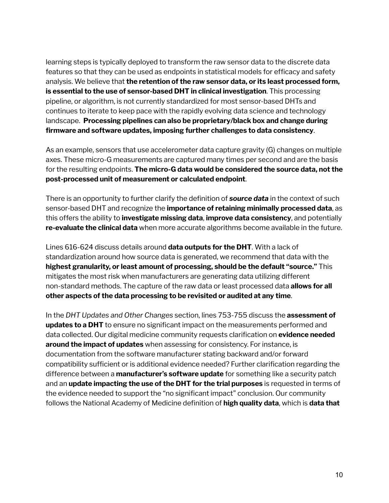learning steps is typically deployed to transform the raw sensor data to the discrete data features so that they can be used as endpoints in statistical models for efficacy and safety analysis. We believe that **the retention of the raw sensor data, or its least processed form, is essential to the use of sensor-based DHT in clinical investigation**. This processing pipeline, or algorithm, is not currently standardized for most sensor-based DHTs and continues to iterate to keep pace with the rapidly evolving data science and technology landscape. **Processing pipelines can also be proprietary/black box and change during firmware and software updates, imposing further challenges to data consistency**.

As an example, sensors that use accelerometer data capture gravity (G) changes on multiple axes. These micro-G measurements are captured many times per second and are the basis for the resulting endpoints. **The micro-G data would be considered the source data, not the post-processed unit of measurement or calculated endpoint**.

There is an opportunity to further clarify the definition of *source data* in the context of such sensor-based DHT and recognize the **importance of retaining minimally processed data**, as this offers the ability to **investigate missing data**, **improve data consistency**, and potentially **re-evaluate the clinical data** when more accurate algorithms become available in the future.

Lines 616-624 discuss details around **data outputs for the DHT**. With a lack of standardization around how source data is generated, we recommend that data with the **highest granularity, or least amount of processing, should be the default "source."** This mitigates the most risk when manufacturers are generating data utilizing different non-standard methods. The capture of the raw data or least processed data **allows for all other aspects of the data processing to be revisited or audited at any time**.

In the *DHT Updates and Other Changes* section, lines 753-755 discuss the **assessment of updates to a DHT** to ensure no significant impact on the measurements performed and data collected. Our digital medicine community requests clarification on **evidence needed around the impact of updates** when assessing for consistency. For instance, is documentation from the software manufacturer stating backward and/or forward compatibility sufficient or is additional evidence needed? Further clarification regarding the difference between a **manufacturer's software update** for something like a security patch and an **update impacting the use of the DHT for the trial purposes** is requested in terms of the evidence needed to support the "no significant impact" conclusion. Our community follows the National Academy of Medicine definition of **high quality data**, which is **data that**